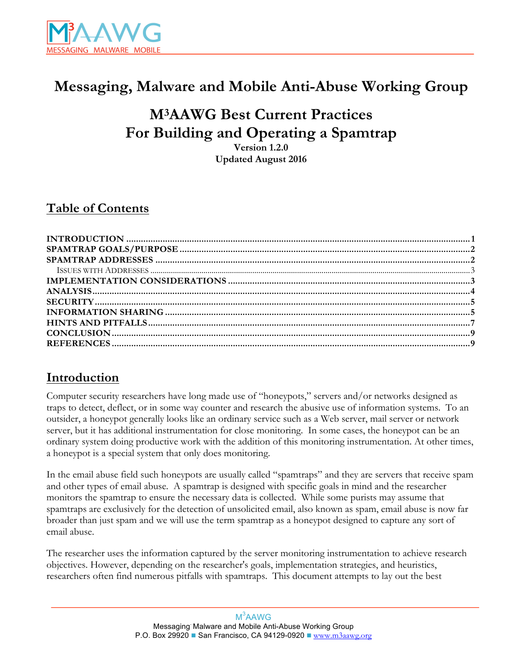

# **Messaging, Malware and Mobile Anti-Abuse Working Group**

# **M3AAWG Best Current Practices For Building and Operating a Spamtrap**

**Version 1.2.0 Updated August 2016**

### **Table of Contents**

#### **Introduction**

Computer security researchers have long made use of "honeypots," servers and/or networks designed as traps to detect, deflect, or in some way counter and research the abusive use of information systems. To an outsider, a honeypot generally looks like an ordinary service such as a Web server, mail server or network server, but it has additional instrumentation for close monitoring. In some cases, the honeypot can be an ordinary system doing productive work with the addition of this monitoring instrumentation. At other times, a honeypot is a special system that only does monitoring.

In the email abuse field such honeypots are usually called "spamtraps" and they are servers that receive spam and other types of email abuse. A spamtrap is designed with specific goals in mind and the researcher monitors the spamtrap to ensure the necessary data is collected. While some purists may assume that spamtraps are exclusively for the detection of unsolicited email, also known as spam, email abuse is now far broader than just spam and we will use the term spamtrap as a honeypot designed to capture any sort of email abuse.

The researcher uses the information captured by the server monitoring instrumentation to achieve research objectives. However, depending on the researcher's goals, implementation strategies, and heuristics, researchers often find numerous pitfalls with spamtraps. This document attempts to lay out the best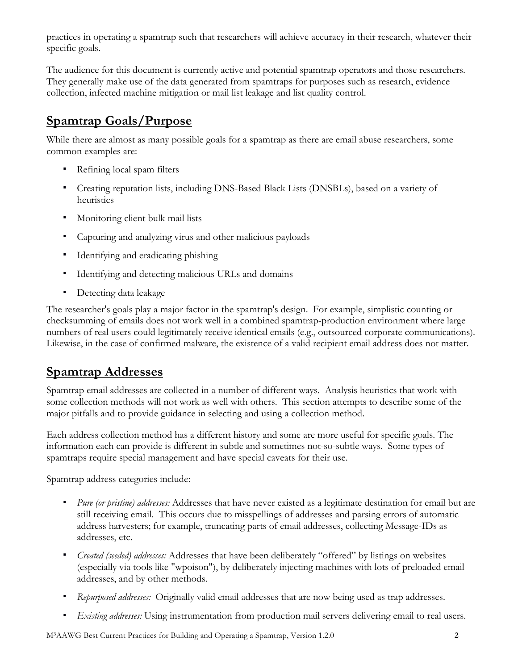<span id="page-1-0"></span>practices in operating a spamtrap such that researchers will achieve accuracy in their research, whatever their specific goals.

The audience for this document is currently active and potential spamtrap operators and those researchers. They generally make use of the data generated from spamtraps for purposes such as research, evidence collection, infected machine mitigation or mail list leakage and list quality control.

### **Spamtrap Goals/Purpose**

While there are almost as many possible goals for a spamtrap as there are email abuse researchers, some common examples are:

- Refining local spam filters
- Creating reputation lists, including DNS-Based Black Lists (DNSBLs), based on a variety of heuristics
- Monitoring client bulk mail lists
- Capturing and analyzing virus and other malicious payloads
- Identifying and eradicating phishing
- Identifying and detecting malicious URLs and domains
- Detecting data leakage

The researcher's goals play a major factor in the spamtrap's design. For example, simplistic counting or checksumming of emails does not work well in a combined spamtrap-production environment where large numbers of real users could legitimately receive identical emails (e.g., outsourced corporate communications). Likewise, in the case of confirmed malware, the existence of a valid recipient email address does not matter.

#### **Spamtrap Addresses**

Spamtrap email addresses are collected in a number of different ways. Analysis heuristics that work with some collection methods will not work as well with others. This section attempts to describe some of the major pitfalls and to provide guidance in selecting and using a collection method.

Each address collection method has a different history and some are more useful for specific goals. The information each can provide is different in subtle and sometimes not-so-subtle ways. Some types of spamtraps require special management and have special caveats for their use.

Spamtrap address categories include:

- *Pure (or pristine) addresses:* Addresses that have never existed as a legitimate destination for email but are still receiving email. This occurs due to misspellings of addresses and parsing errors of automatic address harvesters; for example, truncating parts of email addresses, collecting Message-IDs as addresses, etc.
- *Created (seeded) addresses:* Addresses that have been deliberately "offered" by listings on websites (especially via tools like "wpoison"), by deliberately injecting machines with lots of preloaded email addresses, and by other methods.
- *Repurposed addresses:* Originally valid email addresses that are now being used as trap addresses.
- *Existing addresses:* Using instrumentation from production mail servers delivering email to real users.

M3AAWG Best Current Practices for Building and Operating a Spamtrap, Version 1.2.0 **2**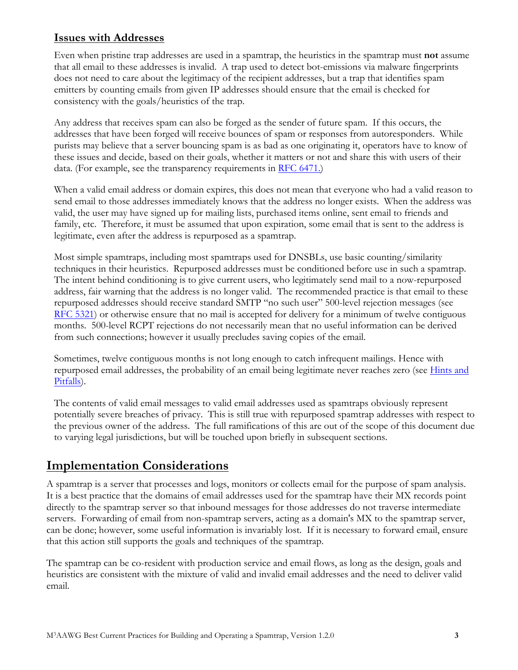#### <span id="page-2-0"></span>**Issues with Addresses**

Even when pristine trap addresses are used in a spamtrap, the heuristics in the spamtrap must **not** assume that all email to these addresses is invalid. A trap used to detect bot-emissions via malware fingerprints does not need to care about the legitimacy of the recipient addresses, but a trap that identifies spam emitters by counting emails from given IP addresses should ensure that the email is checked for consistency with the goals/heuristics of the trap.

Any address that receives spam can also be forged as the sender of future spam. If this occurs, the addresses that have been forged will receive bounces of spam or responses from autoresponders. While purists may believe that a server bouncing spam is as bad as one originating it, operators have to know of these issues and decide, based on their goals, whether it matters or not and share this with users of their data. (For example, see the transparency requirements in RFC [6471.\)](#page-8-0)

When a valid email address or domain expires, this does not mean that everyone who had a valid reason to send email to those addresses immediately knows that the address no longer exists. When the address was valid, the user may have signed up for mailing lists, purchased items online, sent email to friends and family, etc. Therefore, it must be assumed that upon expiration, some email that is sent to the address is legitimate, even after the address is repurposed as a spamtrap.

Most simple spamtraps, including most spamtraps used for DNSBLs, use basic counting/similarity techniques in their heuristics. Repurposed addresses must be conditioned before use in such a spamtrap. The intent behind conditioning is to give current users, who legitimately send mail to a now-repurposed address, fair warning that the address is no longer valid. The recommended practice is that email to these repurposed addresses should receive standard SMTP "no such user" 500-level rejection messages (see RFC [5321](#page-8-0)) or otherwise ensure that no mail is accepted for delivery for a minimum of twelve contiguous months. 500-level RCPT rejections do not necessarily mean that no useful information can be derived from such connections; however it usually precludes saving copies of the email.

Sometimes, twelve contiguous months is not long enough to catch infrequent mailings. Hence with [repurposed](#page-6-0) email addresses, the probability of an email being legitimate never reaches zero (see Hints and Pitfalls).

The contents of valid email messages to valid email addresses used as spamtraps obviously represent potentially severe breaches of privacy. This is still true with repurposed spamtrap addresses with respect to the previous owner of the address. The full ramifications of this are out of the scope of this document due to varying legal jurisdictions, but will be touched upon briefly in subsequent sections.

#### **Implementation Considerations**

A spamtrap is a server that processes and logs, monitors or collects email for the purpose of spam analysis. It is a best practice that the domains of email addresses used for the spamtrap have their MX records point directly to the spamtrap server so that inbound messages for those addresses do not traverse intermediate servers. Forwarding of email from non-spamtrap servers, acting as a domain's MX to the spamtrap server, can be done; however, some useful information is invariably lost. If it is necessary to forward email, ensure that this action still supports the goals and techniques of the spamtrap.

The spamtrap can be co-resident with production service and email flows, as long as the design, goals and heuristics are consistent with the mixture of valid and invalid email addresses and the need to deliver valid email.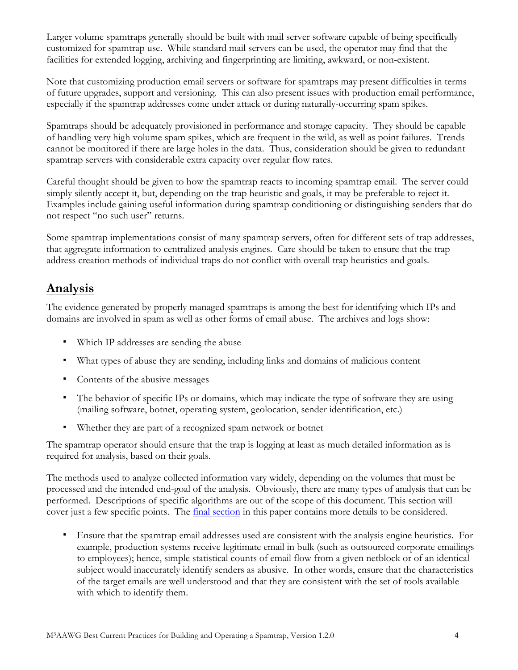<span id="page-3-0"></span>Larger volume spamtraps generally should be built with mail server software capable of being specifically customized for spamtrap use. While standard mail servers can be used, the operator may find that the facilities for extended logging, archiving and fingerprinting are limiting, awkward, or non-existent.

Note that customizing production email servers or software for spamtraps may present difficulties in terms of future upgrades, support and versioning. This can also present issues with production email performance, especially if the spamtrap addresses come under attack or during naturally-occurring spam spikes.

Spamtraps should be adequately provisioned in performance and storage capacity. They should be capable of handling very high volume spam spikes, which are frequent in the wild, as well as point failures. Trends cannot be monitored if there are large holes in the data. Thus, consideration should be given to redundant spamtrap servers with considerable extra capacity over regular flow rates.

Careful thought should be given to how the spamtrap reacts to incoming spamtrap email. The server could simply silently accept it, but, depending on the trap heuristic and goals, it may be preferable to reject it. Examples include gaining useful information during spamtrap conditioning or distinguishing senders that do not respect "no such user" returns.

Some spamtrap implementations consist of many spamtrap servers, often for different sets of trap addresses, that aggregate information to centralized analysis engines. Care should be taken to ensure that the trap address creation methods of individual traps do not conflict with overall trap heuristics and goals.

#### **Analysis**

The evidence generated by properly managed spamtraps is among the best for identifying which IPs and domains are involved in spam as well as other forms of email abuse. The archives and logs show:

- Which IP addresses are sending the abuse
- What types of abuse they are sending, including links and domains of malicious content
- Contents of the abusive messages
- The behavior of specific IPs or domains, which may indicate the type of software they are using (mailing software, botnet, operating system, geolocation, sender identification, etc.)
- Whether they are part of a recognized spam network or botnet

The spamtrap operator should ensure that the trap is logging at least as much detailed information as is required for analysis, based on their goals.

The methods used to analyze collected information vary widely, depending on the volumes that must be processed and the intended end-goal of the analysis. Obviously, there are many types of analysis that can be performed. Descriptions of specific algorithms are out of the scope of this document. This section will cover just a few specific points. The *final [section](#page-6-0)* in this paper contains more details to be considered.

▪ Ensure that the spamtrap email addresses used are consistent with the analysis engine heuristics. For example, production systems receive legitimate email in bulk (such as outsourced corporate emailings to employees); hence, simple statistical counts of email flow from a given netblock or of an identical subject would inaccurately identify senders as abusive. In other words, ensure that the characteristics of the target emails are well understood and that they are consistent with the set of tools available with which to identify them.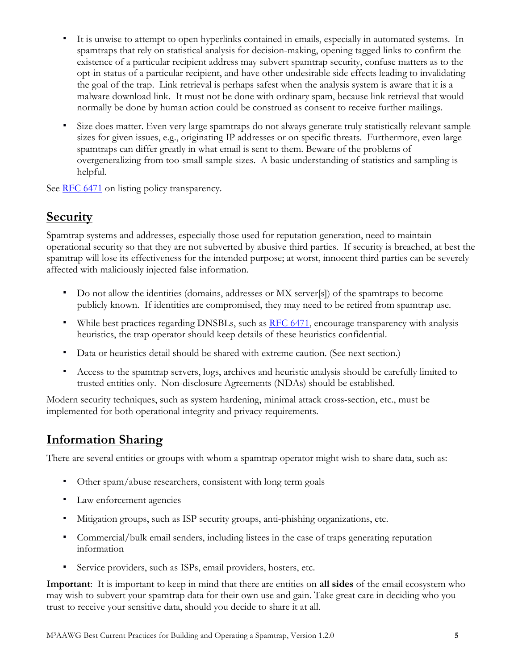- <span id="page-4-0"></span>It is unwise to attempt to open hyperlinks contained in emails, especially in automated systems. In spamtraps that rely on statistical analysis for decision-making, opening tagged links to confirm the existence of a particular recipient address may subvert spamtrap security, confuse matters as to the opt-in status of a particular recipient, and have other undesirable side effects leading to invalidating the goal of the trap. Link retrieval is perhaps safest when the analysis system is aware that it is a malware download link. It must not be done with ordinary spam, because link retrieval that would normally be done by human action could be construed as consent to receive further mailings.
- Size does matter. Even very large spamtraps do not always generate truly statistically relevant sample sizes for given issues, e.g., originating IP addresses or on specific threats. Furthermore, even large spamtraps can differ greatly in what email is sent to them. Beware of the problems of overgeneralizing from too-small sample sizes. A basic understanding of statistics and sampling is helpful.

See RFC [6471](#page-8-0) on listing policy transparency.

#### **Security**

Spamtrap systems and addresses, especially those used for reputation generation, need to maintain operational security so that they are not subverted by abusive third parties. If security is breached, at best the spamtrap will lose its effectiveness for the intended purpose; at worst, innocent third parties can be severely affected with maliciously injected false information.

- Do not allow the identities (domains, addresses or MX server[s]) of the spamtraps to become publicly known. If identities are compromised, they may need to be retired from spamtrap use.
- While best practices regarding DNSBLs, such as RFC [6471,](#page-8-0) encourage transparency with analysis heuristics, the trap operator should keep details of these heuristics confidential.
- Data or heuristics detail should be shared with extreme caution. (See next section.)
- Access to the spamtrap servers, logs, archives and heuristic analysis should be carefully limited to trusted entities only. Non-disclosure Agreements (NDAs) should be established.

Modern security techniques, such as system hardening, minimal attack cross-section, etc., must be implemented for both operational integrity and privacy requirements.

#### **Information Sharing**

There are several entities or groups with whom a spamtrap operator might wish to share data, such as:

- Other spam/abuse researchers, consistent with long term goals
- Law enforcement agencies
- Mitigation groups, such as ISP security groups, anti-phishing organizations, etc.
- Commercial/bulk email senders, including listees in the case of traps generating reputation information
- Service providers, such as ISPs, email providers, hosters, etc.

**Important**: It is important to keep in mind that there are entities on **all sides** of the email ecosystem who may wish to subvert your spamtrap data for their own use and gain. Take great care in deciding who you trust to receive your sensitive data, should you decide to share it at all.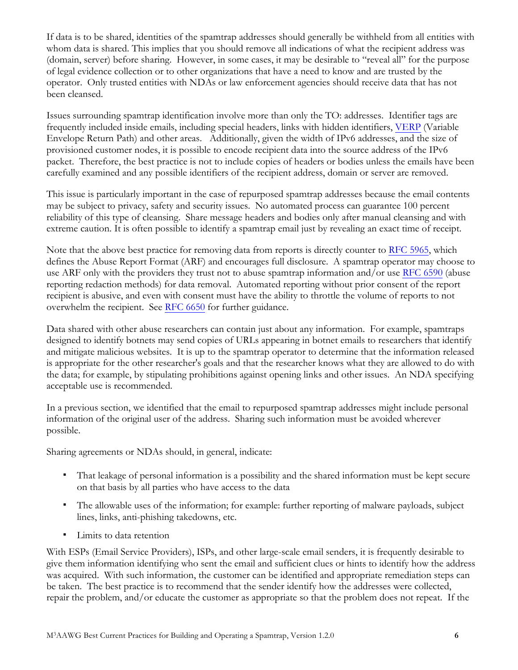If data is to be shared, identities of the spamtrap addresses should generally be withheld from all entities with whom data is shared. This implies that you should remove all indications of what the recipient address was (domain, server) before sharing. However, in some cases, it may be desirable to "reveal all" for the purpose of legal evidence collection or to other organizations that have a need to know and are trusted by the operator. Only trusted entities with NDAs or law enforcement agencies should receive data that has not been cleansed.

Issues surrounding spamtrap identification involve more than only the TO: addresses. Identifier tags are frequently included inside emails, including special headers, links with hidden identifiers, [VERP](#page-8-0) (Variable Envelope Return Path) and other areas. Additionally, given the width of IPv6 addresses, and the size of provisioned customer nodes, it is possible to encode recipient data into the source address of the IPv6 packet. Therefore, the best practice is not to include copies of headers or bodies unless the emails have been carefully examined and any possible identifiers of the recipient address, domain or server are removed.

This issue is particularly important in the case of repurposed spamtrap addresses because the email contents may be subject to privacy, safety and security issues. No automated process can guarantee 100 percent reliability of this type of cleansing. Share message headers and bodies only after manual cleansing and with extreme caution. It is often possible to identify a spamtrap email just by revealing an exact time of receipt.

Note that the above best practice for removing data from reports is directly counter to [RFC 5965,](#page-8-0) which defines the Abuse Report Format (ARF) and encourages full disclosure. A spamtrap operator may choose to use ARF only with the providers they trust not to abuse spamtrap information and/or use [RFC 6590](#page-8-0) (abuse reporting redaction methods) for data removal. Automated reporting without prior consent of the report recipient is abusive, and even with consent must have the ability to throttle the volume of reports to not overwhelm the recipient. See [RFC 6](#page-8-0)650 for further guidance.

Data shared with other abuse researchers can contain just about any information. For example, spamtraps designed to identify botnets may send copies of URLs appearing in botnet emails to researchers that identify and mitigate malicious websites. It is up to the spamtrap operator to determine that the information released is appropriate for the other researcher's goals and that the researcher knows what they are allowed to do with the data; for example, by stipulating prohibitions against opening links and other issues. An NDA specifying acceptable use is recommended.

In a previous section, we identified that the email to repurposed spamtrap addresses might include personal information of the original user of the address. Sharing such information must be avoided wherever possible.

Sharing agreements or NDAs should, in general, indicate:

- That leakage of personal information is a possibility and the shared information must be kept secure on that basis by all parties who have access to the data
- The allowable uses of the information; for example: further reporting of malware payloads, subject lines, links, anti-phishing takedowns, etc.
- Limits to data retention

With ESPs (Email Service Providers), ISPs, and other large-scale email senders, it is frequently desirable to give them information identifying who sent the email and sufficient clues or hints to identify how the address was acquired. With such information, the customer can be identified and appropriate remediation steps can be taken. The best practice is to recommend that the sender identify how the addresses were collected, repair the problem, and/or educate the customer as appropriate so that the problem does not repeat. If the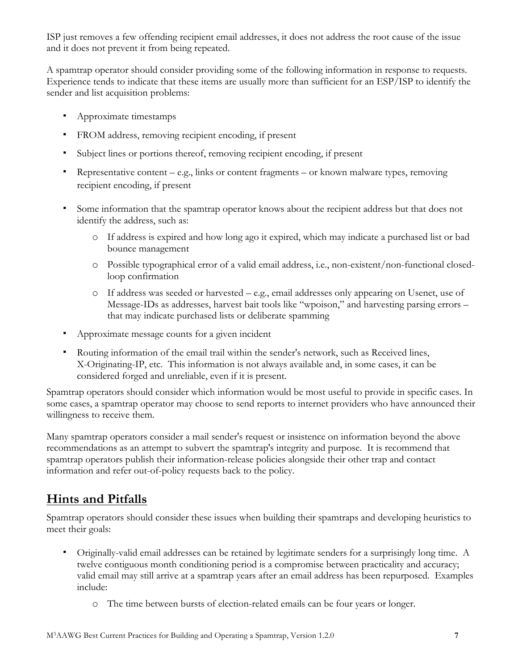<span id="page-6-0"></span>ISP just removes a few offending recipient email addresses, it does not address the root cause of the issue and it does not prevent it from being repeated.

A spamtrap operator should consider providing some of the following information in response to requests. Experience tends to indicate that these items are usually more than sufficient for an ESP/ISP to identify the sender and list acquisition problems:

- **•** Approximate timestamps
- FROM address, removing recipient encoding, if present
- Subject lines or portions thereof, removing recipient encoding, if present
- **•** Representative content e.g., links or content fragments or known malware types, removing recipient encoding, if present
- Some information that the spamtrap operator knows about the recipient address but that does not identify the address, such as:
	- o If address is expired and how long ago it expired, which may indicate a purchased list or bad bounce management
	- o Possible typographical error of a valid email address, i.e., non-existent/non-functional closedloop confirmation
	- o If address was seeded or harvested e.g., email addresses only appearing on Usenet, use of Message-IDs as addresses, harvest bait tools like "wpoison," and harvesting parsing errors – that may indicate purchased lists or deliberate spamming
- Approximate message counts for a given incident
- Routing information of the email trail within the sender's network, such as Received lines, X-Originating-IP, etc. This information is not always available and, in some cases, it can be considered forged and unreliable, even if it is present.

Spamtrap operators should consider which information would be most useful to provide in specific cases. In some cases, a spamtrap operator may choose to send reports to internet providers who have announced their willingness to receive them.

Many spamtrap operators consider a mail sender's request or insistence on information beyond the above recommendations as an attempt to subvert the spamtrap's integrity and purpose. It is recommend that spamtrap operators publish their information-release policies alongside their other trap and contact information and refer out-of-policy requests back to the policy.

## **Hints and Pitfalls**

Spamtrap operators should consider these issues when building their spamtraps and developing heuristics to meet their goals:

- Originally-valid email addresses can be retained by legitimate senders for a surprisingly long time. A twelve contiguous month conditioning period is a compromise between practicality and accuracy; valid email may still arrive at a spamtrap years after an email address has been repurposed. Examples include:
	- o The time between bursts of election-related emails can be four years or longer.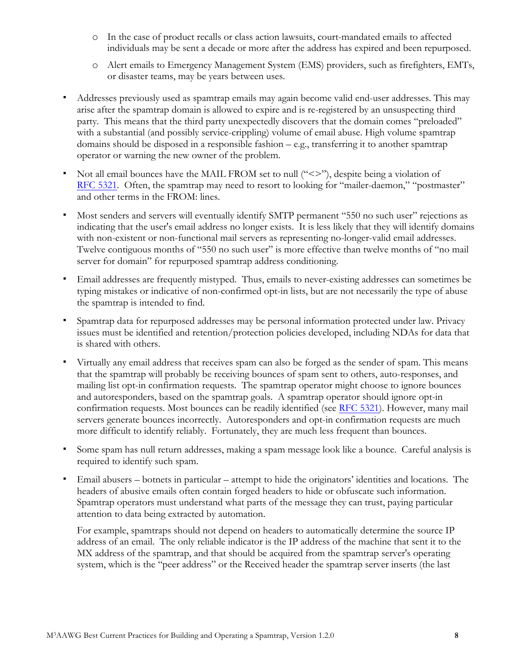- o In the case of product recalls or class action lawsuits, court-mandated emails to affected individuals may be sent a decade or more after the address has expired and been repurposed.
- o Alert emails to Emergency Management System (EMS) providers, such as firefighters, EMTs, or disaster teams, may be years between uses.
- Addresses previously used as spamtrap emails may again become valid end-user addresses. This may arise after the spamtrap domain is allowed to expire and is re-registered by an unsuspecting third party. This means that the third party unexpectedly discovers that the domain comes "preloaded" with a substantial (and possibly service-crippling) volume of email abuse. High volume spamtrap domains should be disposed in a responsible fashion – e.g., transferring it to another spamtrap operator or warning the new owner of the problem.
- $\bullet$  Not all email bounces have the MAIL FROM set to null (" $\lt\lt\gt$ "), despite being a violation of RFC [5321](#page-8-0). Often, the spamtrap may need to resort to looking for "mailer-daemon," "postmaster" and other terms in the FROM: lines.
- Most senders and servers will eventually identify SMTP permanent "550 no such user" rejections as indicating that the user's email address no longer exists. It is less likely that they will identify domains with non-existent or non-functional mail servers as representing no-longer-valid email addresses. Twelve contiguous months of "550 no such user" is more effective than twelve months of "no mail server for domain" for repurposed spamtrap address conditioning.
- Email addresses are frequently mistyped. Thus, emails to never-existing addresses can sometimes be typing mistakes or indicative of non-confirmed opt-in lists, but are not necessarily the type of abuse the spamtrap is intended to find.
- Spamtrap data for repurposed addresses may be personal information protected under law. Privacy issues must be identified and retention/protection policies developed, including NDAs for data that is shared with others.
- Virtually any email address that receives spam can also be forged as the sender of spam. This means that the spamtrap will probably be receiving bounces of spam sent to others, auto-responses, and mailing list opt-in confirmation requests. The spamtrap operator might choose to ignore bounces and autoresponders, based on the spamtrap goals. A spamtrap operator should ignore opt-in confirmation requests. Most bounces can be readily identified (see RFC [5321](#page-8-0)). However, many mail servers generate bounces incorrectly. Autoresponders and opt-in confirmation requests are much more difficult to identify reliably. Fortunately, they are much less frequent than bounces.
- Some spam has null return addresses, making a spam message look like a bounce. Careful analysis is required to identify such spam.
- Email abusers botnets in particular attempt to hide the originators' identities and locations. The headers of abusive emails often contain forged headers to hide or obfuscate such information. Spamtrap operators must understand what parts of the message they can trust, paying particular attention to data being extracted by automation.

For example, spamtraps should not depend on headers to automatically determine the source IP address of an email. The only reliable indicator is the IP address of the machine that sent it to the MX address of the spamtrap, and that should be acquired from the spamtrap server's operating system, which is the "peer address" or the Received header the spamtrap server inserts (the last